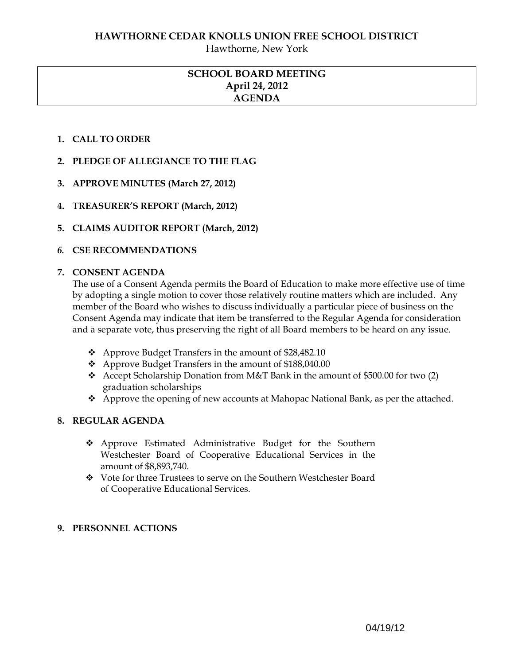Hawthorne, New York

# **SCHOOL BOARD MEETING April 24, 2012 AGENDA**

## **1. CALL TO ORDER**

- **2. PLEDGE OF ALLEGIANCE TO THE FLAG**
- **3. APPROVE MINUTES (March 27, 2012)**
- **4. TREASURER'S REPORT (March, 2012)**
- **5. CLAIMS AUDITOR REPORT (March, 2012)**

## *6.* **CSE RECOMMENDATIONS**

### **7. CONSENT AGENDA**

The use of a Consent Agenda permits the Board of Education to make more effective use of time by adopting a single motion to cover those relatively routine matters which are included. Any member of the Board who wishes to discuss individually a particular piece of business on the Consent Agenda may indicate that item be transferred to the Regular Agenda for consideration and a separate vote, thus preserving the right of all Board members to be heard on any issue.

- ❖ Approve Budget Transfers in the amount of \$28,482.10
- ❖ Approve Budget Transfers in the amount of \$188,040.00
- Accept Scholarship Donation from M&T Bank in the amount of \$500.00 for two (2) graduation scholarships
- \* Approve the opening of new accounts at Mahopac National Bank, as per the attached.

## **8. REGULAR AGENDA**

- Approve Estimated Administrative Budget for the Southern Westchester Board of Cooperative Educational Services in the amount of \$8,893,740.
- \* Vote for three Trustees to serve on the Southern Westchester Board of Cooperative Educational Services.

## **9. PERSONNEL ACTIONS**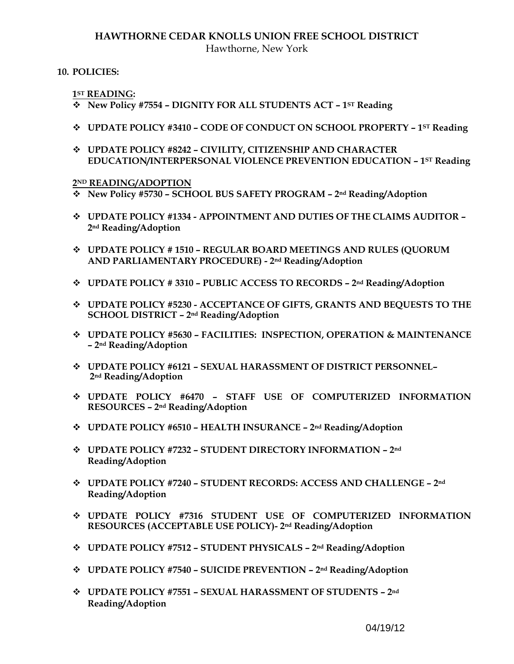## **HAWTHORNE CEDAR KNOLLS UNION FREE SCHOOL DISTRICT** Hawthorne, New York

### **10. POLICIES:**

**1ST READING:** 

- **New Policy #7554 – DIGNITY FOR ALL STUDENTS ACT – 1ST Reading**
- **UPDATE POLICY #3410 – CODE OF CONDUCT ON SCHOOL PROPERTY – 1ST Reading**
- **UPDATE POLICY #8242 – CIVILITY, CITIZENSHIP AND CHARACTER EDUCATION/INTERPERSONAL VIOLENCE PREVENTION EDUCATION – 1ST Reading**

#### **2ND READING/ADOPTION**

- **New Policy #5730 – SCHOOL BUS SAFETY PROGRAM – 2nd Reading/Adoption**
- **UPDATE POLICY #1334 - APPOINTMENT AND DUTIES OF THE CLAIMS AUDITOR – 2nd Reading/Adoption**
- **UPDATE POLICY # 1510 – REGULAR BOARD MEETINGS AND RULES (QUORUM AND PARLIAMENTARY PROCEDURE) - 2nd Reading/Adoption**
- **UPDATE POLICY # 3310 – PUBLIC ACCESS TO RECORDS – 2nd Reading/Adoption**
- **UPDATE POLICY #5230 - ACCEPTANCE OF GIFTS, GRANTS AND BEQUESTS TO THE SCHOOL DISTRICT – 2nd Reading/Adoption**
- **UPDATE POLICY #5630 – FACILITIES: INSPECTION, OPERATION & MAINTENANCE – 2nd Reading/Adoption**
- **UPDATE POLICY #6121 – SEXUAL HARASSMENT OF DISTRICT PERSONNEL– 2nd Reading/Adoption**
- **UPDATE POLICY #6470 – STAFF USE OF COMPUTERIZED INFORMATION RESOURCES – 2nd Reading/Adoption**
- **UPDATE POLICY #6510 – HEALTH INSURANCE – 2nd Reading/Adoption**
- **UPDATE POLICY #7232 – STUDENT DIRECTORY INFORMATION – 2nd Reading/Adoption**
- **UPDATE POLICY #7240 – STUDENT RECORDS: ACCESS AND CHALLENGE – 2nd Reading/Adoption**
- **UPDATE POLICY #7316 STUDENT USE OF COMPUTERIZED INFORMATION RESOURCES (ACCEPTABLE USE POLICY)- 2nd Reading/Adoption**
- **UPDATE POLICY #7512 – STUDENT PHYSICALS – 2nd Reading/Adoption**
- **UPDATE POLICY #7540 – SUICIDE PREVENTION – 2nd Reading/Adoption**
- **UPDATE POLICY #7551 – SEXUAL HARASSMENT OF STUDENTS – 2nd Reading/Adoption**